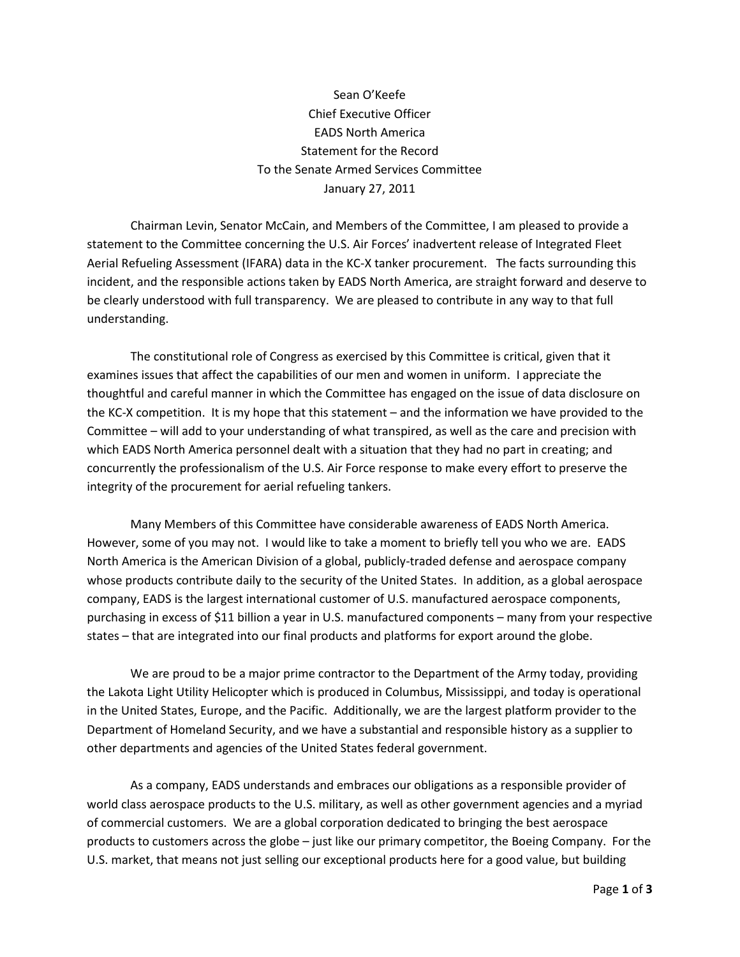Sean O'Keefe Chief Executive Officer EADS North America Statement for the Record To the Senate Armed Services Committee January 27, 2011

Chairman Levin, Senator McCain, and Members of the Committee, I am pleased to provide a statement to the Committee concerning the U.S. Air Forces' inadvertent release of Integrated Fleet Aerial Refueling Assessment (IFARA) data in the KC-X tanker procurement. The facts surrounding this incident, and the responsible actions taken by EADS North America, are straight forward and deserve to be clearly understood with full transparency. We are pleased to contribute in any way to that full understanding.

The constitutional role of Congress as exercised by this Committee is critical, given that it examines issues that affect the capabilities of our men and women in uniform. I appreciate the thoughtful and careful manner in which the Committee has engaged on the issue of data disclosure on the KC-X competition. It is my hope that this statement – and the information we have provided to the Committee – will add to your understanding of what transpired, as well as the care and precision with which EADS North America personnel dealt with a situation that they had no part in creating; and concurrently the professionalism of the U.S. Air Force response to make every effort to preserve the integrity of the procurement for aerial refueling tankers.

Many Members of this Committee have considerable awareness of EADS North America. However, some of you may not. I would like to take a moment to briefly tell you who we are. EADS North America is the American Division of a global, publicly-traded defense and aerospace company whose products contribute daily to the security of the United States. In addition, as a global aerospace company, EADS is the largest international customer of U.S. manufactured aerospace components, purchasing in excess of \$11 billion a year in U.S. manufactured components – many from your respective states – that are integrated into our final products and platforms for export around the globe.

We are proud to be a major prime contractor to the Department of the Army today, providing the Lakota Light Utility Helicopter which is produced in Columbus, Mississippi, and today is operational in the United States, Europe, and the Pacific. Additionally, we are the largest platform provider to the Department of Homeland Security, and we have a substantial and responsible history as a supplier to other departments and agencies of the United States federal government.

As a company, EADS understands and embraces our obligations as a responsible provider of world class aerospace products to the U.S. military, as well as other government agencies and a myriad of commercial customers. We are a global corporation dedicated to bringing the best aerospace products to customers across the globe – just like our primary competitor, the Boeing Company. For the U.S. market, that means not just selling our exceptional products here for a good value, but building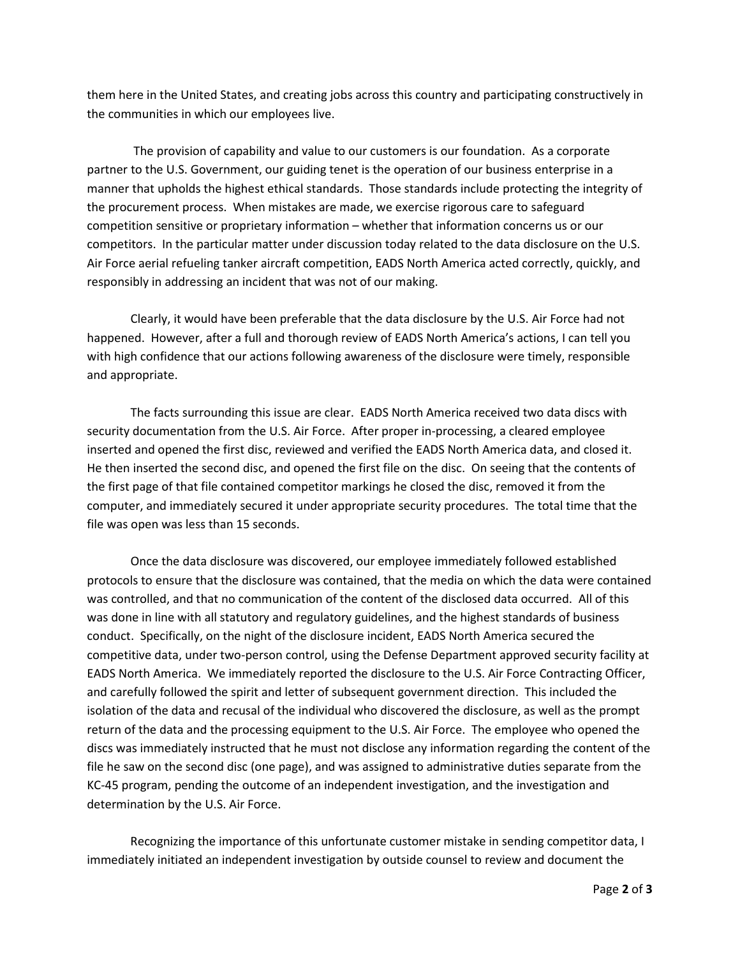them here in the United States, and creating jobs across this country and participating constructively in the communities in which our employees live.

The provision of capability and value to our customers is our foundation. As a corporate partner to the U.S. Government, our guiding tenet is the operation of our business enterprise in a manner that upholds the highest ethical standards. Those standards include protecting the integrity of the procurement process. When mistakes are made, we exercise rigorous care to safeguard competition sensitive or proprietary information – whether that information concerns us or our competitors. In the particular matter under discussion today related to the data disclosure on the U.S. Air Force aerial refueling tanker aircraft competition, EADS North America acted correctly, quickly, and responsibly in addressing an incident that was not of our making.

Clearly, it would have been preferable that the data disclosure by the U.S. Air Force had not happened. However, after a full and thorough review of EADS North America's actions, I can tell you with high confidence that our actions following awareness of the disclosure were timely, responsible and appropriate.

The facts surrounding this issue are clear. EADS North America received two data discs with security documentation from the U.S. Air Force. After proper in-processing, a cleared employee inserted and opened the first disc, reviewed and verified the EADS North America data, and closed it. He then inserted the second disc, and opened the first file on the disc. On seeing that the contents of the first page of that file contained competitor markings he closed the disc, removed it from the computer, and immediately secured it under appropriate security procedures. The total time that the file was open was less than 15 seconds.

Once the data disclosure was discovered, our employee immediately followed established protocols to ensure that the disclosure was contained, that the media on which the data were contained was controlled, and that no communication of the content of the disclosed data occurred. All of this was done in line with all statutory and regulatory guidelines, and the highest standards of business conduct. Specifically, on the night of the disclosure incident, EADS North America secured the competitive data, under two-person control, using the Defense Department approved security facility at EADS North America. We immediately reported the disclosure to the U.S. Air Force Contracting Officer, and carefully followed the spirit and letter of subsequent government direction. This included the isolation of the data and recusal of the individual who discovered the disclosure, as well as the prompt return of the data and the processing equipment to the U.S. Air Force. The employee who opened the discs was immediately instructed that he must not disclose any information regarding the content of the file he saw on the second disc (one page), and was assigned to administrative duties separate from the KC-45 program, pending the outcome of an independent investigation, and the investigation and determination by the U.S. Air Force.

Recognizing the importance of this unfortunate customer mistake in sending competitor data, I immediately initiated an independent investigation by outside counsel to review and document the